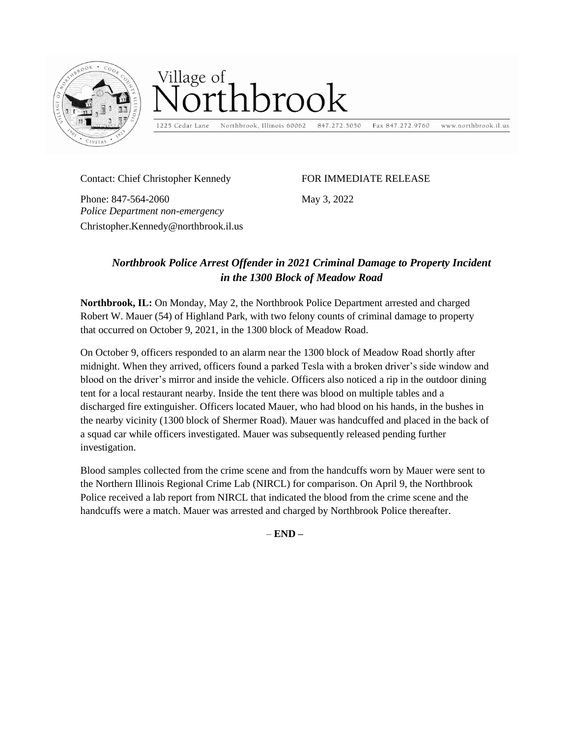

## Village of  $\frac{1}{2}$ rthbrook

1225 Cedar Lane Northbrook, Illinois 60062

847.272.5050

www.northbrook.il.us Fax 847.272.9760

Contact: Chief Christopher Kennedy

*Police Department non-emergency* 

Christopher.Kennedy@northbrook.il.us

Phone: 847-564-2060

FOR IMMEDIATE RELEASE

May 3, 2022

## *Northbrook Police Arrest Offender in 2021 Criminal Damage to Property Incident in the 1300 Block of Meadow Road*

**Northbrook, IL:** On Monday, May 2, the Northbrook Police Department arrested and charged Robert W. Mauer (54) of Highland Park, with two felony counts of criminal damage to property that occurred on October 9, 2021, in the 1300 block of Meadow Road.

On October 9, officers responded to an alarm near the 1300 block of Meadow Road shortly after midnight. When they arrived, officers found a parked Tesla with a broken driver's side window and blood on the driver's mirror and inside the vehicle. Officers also noticed a rip in the outdoor dining tent for a local restaurant nearby. Inside the tent there was blood on multiple tables and a discharged fire extinguisher. Officers located Mauer, who had blood on his hands, in the bushes in the nearby vicinity (1300 block of Shermer Road). Mauer was handcuffed and placed in the back of a squad car while officers investigated. Mauer was subsequently released pending further investigation.

Blood samples collected from the crime scene and from the handcuffs worn by Mauer were sent to the Northern Illinois Regional Crime Lab (NIRCL) for comparison. On April 9, the Northbrook Police received a lab report from NIRCL that indicated the blood from the crime scene and the handcuffs were a match. Mauer was arrested and charged by Northbrook Police thereafter.

– **END –**